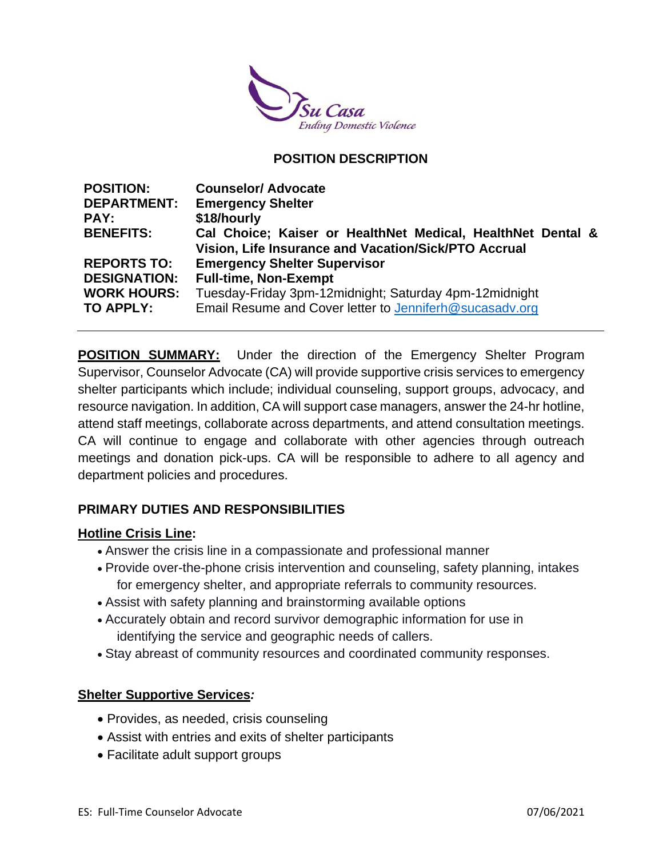

#### **POSITION DESCRIPTION**

| <b>POSITION:</b>                | <b>Counselor/ Advocate</b>                                                                                          |
|---------------------------------|---------------------------------------------------------------------------------------------------------------------|
| <b>DEPARTMENT:</b>              | <b>Emergency Shelter</b>                                                                                            |
| <b>PAY:</b>                     | \$18/hourly                                                                                                         |
| <b>BENEFITS:</b>                | Cal Choice; Kaiser or HealthNet Medical, HealthNet Dental &<br>Vision, Life Insurance and Vacation/Sick/PTO Accrual |
| <b>REPORTS TO:</b>              | <b>Emergency Shelter Supervisor</b>                                                                                 |
| <b>DESIGNATION:</b>             | <b>Full-time, Non-Exempt</b>                                                                                        |
| <b>WORK HOURS:</b><br>TO APPLY: | Tuesday-Friday 3pm-12midnight; Saturday 4pm-12midnight<br>Email Resume and Cover letter to Jenniferh@sucasadv.org   |
|                                 |                                                                                                                     |

**POSITION SUMMARY:** Under the direction of the Emergency Shelter Program Supervisor, Counselor Advocate (CA) will provide supportive crisis services to emergency shelter participants which include; individual counseling, support groups, advocacy, and resource navigation. In addition, CA will support case managers, answer the 24-hr hotline, attend staff meetings, collaborate across departments, and attend consultation meetings. CA will continue to engage and collaborate with other agencies through outreach meetings and donation pick-ups. CA will be responsible to adhere to all agency and department policies and procedures.

## **PRIMARY DUTIES AND RESPONSIBILITIES**

#### **Hotline Crisis Line:**

- Answer the crisis line in a compassionate and professional manner
- Provide over-the-phone crisis intervention and counseling, safety planning, intakes for emergency shelter, and appropriate referrals to community resources.
- Assist with safety planning and brainstorming available options
- Accurately obtain and record survivor demographic information for use in identifying the service and geographic needs of callers.
- Stay abreast of community resources and coordinated community responses.

#### **Shelter Supportive Services***:*

- Provides, as needed, crisis counseling
- Assist with entries and exits of shelter participants
- Facilitate adult support groups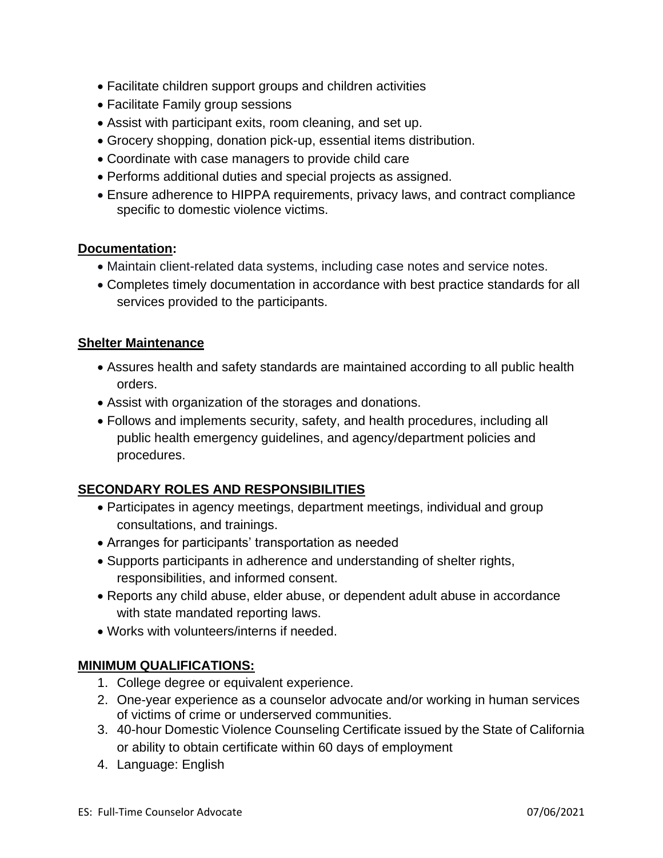- Facilitate children support groups and children activities
- Facilitate Family group sessions
- Assist with participant exits, room cleaning, and set up.
- Grocery shopping, donation pick-up, essential items distribution.
- Coordinate with case managers to provide child care
- Performs additional duties and special projects as assigned.
- Ensure adherence to HIPPA requirements, privacy laws, and contract compliance specific to domestic violence victims.

#### **Documentation:**

- Maintain client-related data systems, including case notes and service notes.
- Completes timely documentation in accordance with best practice standards for all services provided to the participants.

#### **Shelter Maintenance**

- Assures health and safety standards are maintained according to all public health orders.
- Assist with organization of the storages and donations.
- Follows and implements security, safety, and health procedures, including all public health emergency guidelines, and agency/department policies and procedures.

#### **SECONDARY ROLES AND RESPONSIBILITIES**

- Participates in agency meetings, department meetings, individual and group consultations, and trainings.
- Arranges for participants' transportation as needed
- Supports participants in adherence and understanding of shelter rights, responsibilities, and informed consent.
- Reports any child abuse, elder abuse, or dependent adult abuse in accordance with state mandated reporting laws.
- Works with volunteers/interns if needed.

#### **MINIMUM QUALIFICATIONS:**

- 1. College degree or equivalent experience.
- 2. One-year experience as a counselor advocate and/or working in human services of victims of crime or underserved communities.
- 3. 40-hour Domestic Violence Counseling Certificate issued by the State of California or ability to obtain certificate within 60 days of employment
- 4. Language: English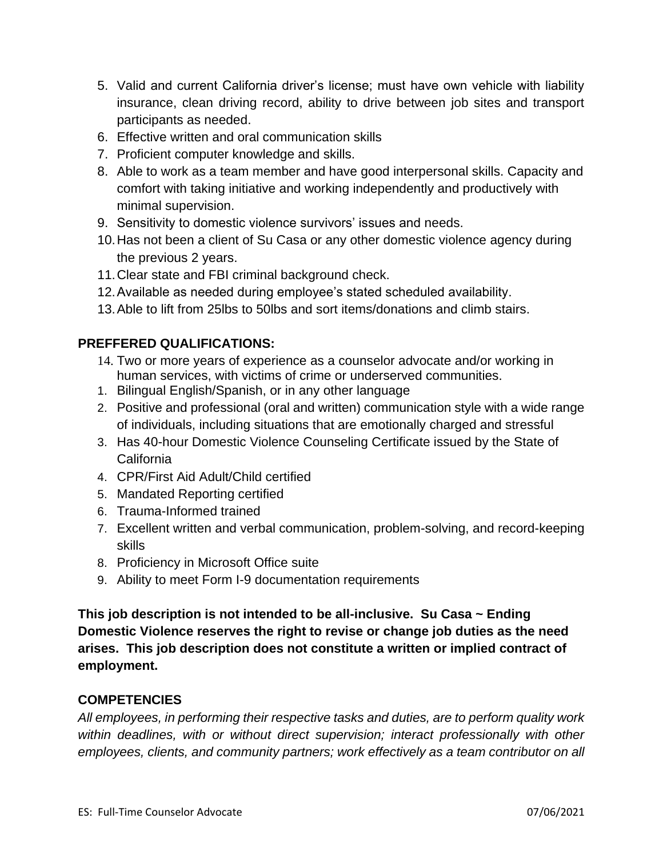- 5. Valid and current California driver's license; must have own vehicle with liability insurance, clean driving record, ability to drive between job sites and transport participants as needed.
- 6. Effective written and oral communication skills
- 7. Proficient computer knowledge and skills.
- 8. Able to work as a team member and have good interpersonal skills. Capacity and comfort with taking initiative and working independently and productively with minimal supervision.
- 9. Sensitivity to domestic violence survivors' issues and needs.
- 10.Has not been a client of Su Casa or any other domestic violence agency during the previous 2 years.
- 11.Clear state and FBI criminal background check.
- 12.Available as needed during employee's stated scheduled availability.
- 13.Able to lift from 25lbs to 50lbs and sort items/donations and climb stairs.

## **PREFFERED QUALIFICATIONS:**

- 14. Two or more years of experience as a counselor advocate and/or working in human services, with victims of crime or underserved communities.
- 1. Bilingual English/Spanish, or in any other language
- 2. Positive and professional (oral and written) communication style with a wide range of individuals, including situations that are emotionally charged and stressful
- 3. Has 40-hour Domestic Violence Counseling Certificate issued by the State of California
- 4. CPR/First Aid Adult/Child certified
- 5. Mandated Reporting certified
- 6. Trauma-Informed trained
- 7. Excellent written and verbal communication, problem-solving, and record-keeping skills
- 8. Proficiency in Microsoft Office suite
- 9. Ability to meet Form I-9 documentation requirements

**This job description is not intended to be all-inclusive. Su Casa ~ Ending Domestic Violence reserves the right to revise or change job duties as the need arises. This job description does not constitute a written or implied contract of employment.**

## **COMPETENCIES**

*All employees, in performing their respective tasks and duties, are to perform quality work within deadlines, with or without direct supervision; interact professionally with other employees, clients, and community partners; work effectively as a team contributor on all*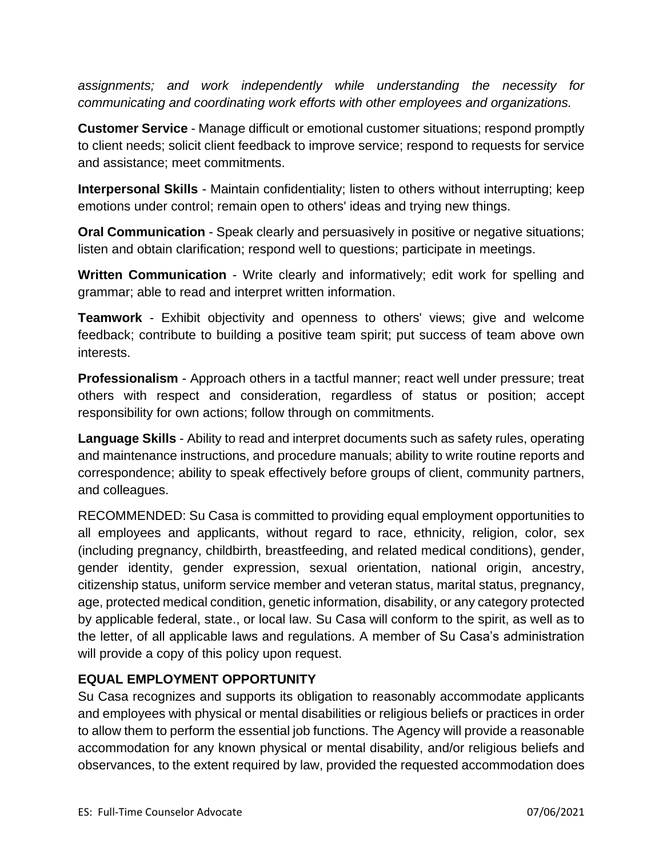*assignments; and work independently while understanding the necessity for communicating and coordinating work efforts with other employees and organizations.*

**Customer Service** - Manage difficult or emotional customer situations; respond promptly to client needs; solicit client feedback to improve service; respond to requests for service and assistance; meet commitments.

**Interpersonal Skills** - Maintain confidentiality; listen to others without interrupting; keep emotions under control; remain open to others' ideas and trying new things.

**Oral Communication** - Speak clearly and persuasively in positive or negative situations; listen and obtain clarification; respond well to questions; participate in meetings.

**Written Communication** - Write clearly and informatively; edit work for spelling and grammar; able to read and interpret written information.

**Teamwork** - Exhibit objectivity and openness to others' views; give and welcome feedback; contribute to building a positive team spirit; put success of team above own interests.

**Professionalism** - Approach others in a tactful manner; react well under pressure; treat others with respect and consideration, regardless of status or position; accept responsibility for own actions; follow through on commitments.

**Language Skills** - Ability to read and interpret documents such as safety rules, operating and maintenance instructions, and procedure manuals; ability to write routine reports and correspondence; ability to speak effectively before groups of client, community partners, and colleagues.

RECOMMENDED: Su Casa is committed to providing equal employment opportunities to all employees and applicants, without regard to race, ethnicity, religion, color, sex (including pregnancy, childbirth, breastfeeding, and related medical conditions), gender, gender identity, gender expression, sexual orientation, national origin, ancestry, citizenship status, uniform service member and veteran status, marital status, pregnancy, age, protected medical condition, genetic information, disability, or any category protected by applicable federal, state., or local law. Su Casa will conform to the spirit, as well as to the letter, of all applicable laws and regulations. A member of Su Casa's administration will provide a copy of this policy upon request.

# **EQUAL EMPLOYMENT OPPORTUNITY**

Su Casa recognizes and supports its obligation to reasonably accommodate applicants and employees with physical or mental disabilities or religious beliefs or practices in order to allow them to perform the essential job functions. The Agency will provide a reasonable accommodation for any known physical or mental disability, and/or religious beliefs and observances, to the extent required by law, provided the requested accommodation does